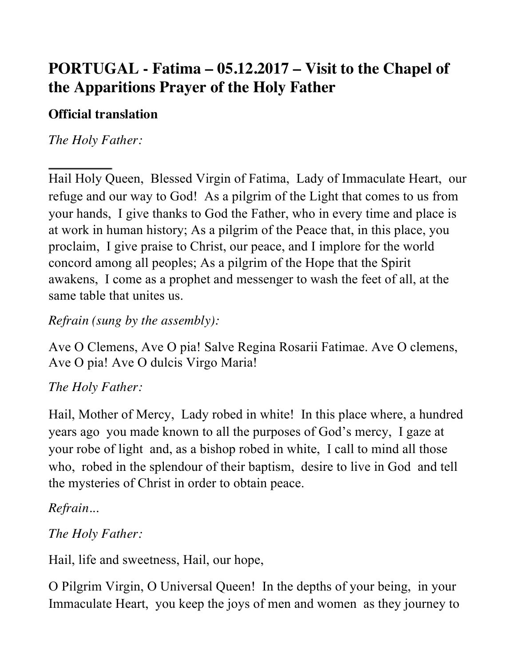# **PORTUGAL - Fatima – 05.12.2017 – Visit to the Chapel of the Apparitions Prayer of the Holy Father**

#### **Official translation**

*The Holy Father:* 

Hail Holy Queen, Blessed Virgin of Fatima, Lady of Immaculate Heart, our refuge and our way to God! As a pilgrim of the Light that comes to us from your hands, I give thanks to God the Father, who in every time and place is at work in human history; As a pilgrim of the Peace that, in this place, you proclaim, I give praise to Christ, our peace, and I implore for the world concord among all peoples; As a pilgrim of the Hope that the Spirit awakens, I come as a prophet and messenger to wash the feet of all, at the same table that unites us.

#### *Refrain (sung by the assembly):*

Ave O Clemens, Ave O pia! Salve Regina Rosarii Fatimae. Ave O clemens, Ave O pia! Ave O dulcis Virgo Maria!

### *The Holy Father:*

Hail, Mother of Mercy, Lady robed in white! In this place where, a hundred years ago you made known to all the purposes of God's mercy, I gaze at your robe of light and, as a bishop robed in white, I call to mind all those who, robed in the splendour of their baptism, desire to live in God and tell the mysteries of Christ in order to obtain peace.

### *Refrain...*

### *The Holy Father:*

Hail, life and sweetness, Hail, our hope,

O Pilgrim Virgin, O Universal Queen! In the depths of your being, in your Immaculate Heart, you keep the joys of men and women as they journey to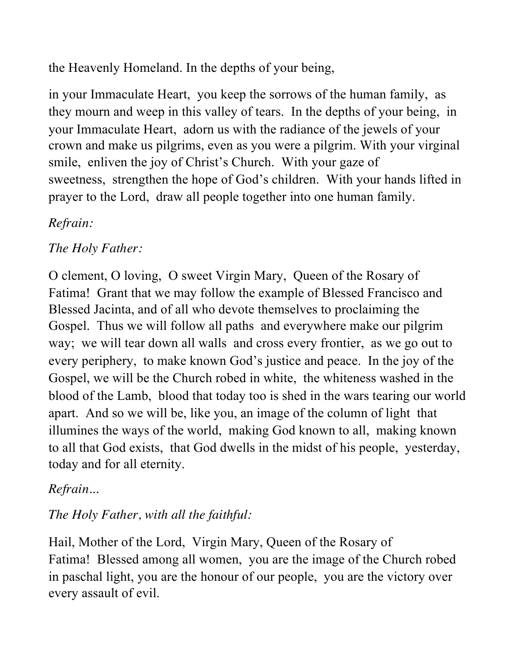the Heavenly Homeland. In the depths of your being,

in your Immaculate Heart, you keep the sorrows of the human family, as they mourn and weep in this valley of tears. In the depths of your being, in your Immaculate Heart, adorn us with the radiance of the jewels of your crown and make us pilgrims, even as you were a pilgrim. With your virginal smile, enliven the joy of Christ's Church. With your gaze of sweetness, strengthen the hope of God's children. With your hands lifted in prayer to the Lord, draw all people together into one human family.

# *Refrain:*

# *The Holy Father:*

O clement, O loving, O sweet Virgin Mary, Queen of the Rosary of Fatima! Grant that we may follow the example of Blessed Francisco and Blessed Jacinta, and of all who devote themselves to proclaiming the Gospel. Thus we will follow all paths and everywhere make our pilgrim way; we will tear down all walls and cross every frontier, as we go out to every periphery, to make known God's justice and peace. In the joy of the Gospel, we will be the Church robed in white, the whiteness washed in the blood of the Lamb, blood that today too is shed in the wars tearing our world apart. And so we will be, like you, an image of the column of light that illumines the ways of the world, making God known to all, making known to all that God exists, that God dwells in the midst of his people, yesterday, today and for all eternity.

### *Refrain...*

#### *The Holy Father, with all the faithful:*

Hail, Mother of the Lord, Virgin Mary, Queen of the Rosary of Fatima! Blessed among all women, you are the image of the Church robed in paschal light, you are the honour of our people, you are the victory over every assault of evil.